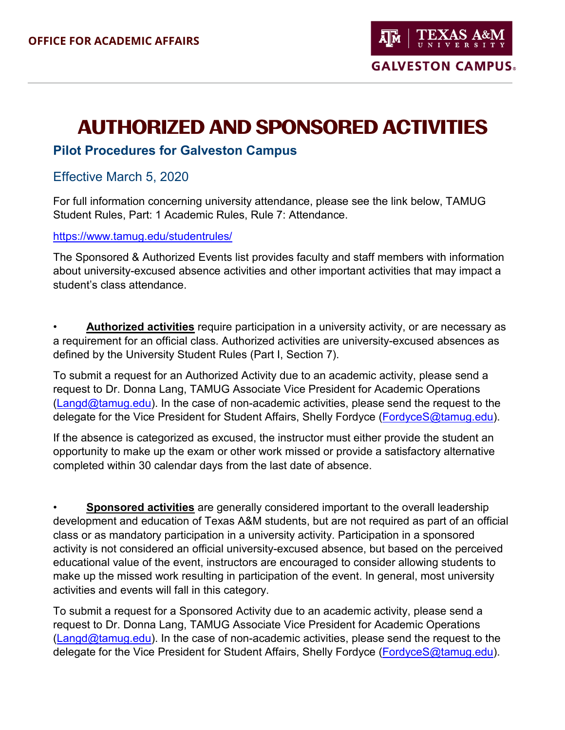# **AUTHORIZED AND SPONSORED ACTIVITIES**

## **Pilot Procedures for Galveston Campus**

### Effective March 5, 2020

For full information concerning university attendance, please see the link below, TAMUG Student Rules, Part: 1 Academic Rules, Rule 7: Attendance.

#### <https://www.tamug.edu/studentrules/>

The Sponsored & Authorized Events list provides faculty and staff members with information about university-excused absence activities and other important activities that may impact a student's class attendance.

• **Authorized activities** require participation in a university activity, or are necessary as a requirement for an official class. Authorized activities are university-excused absences as defined by the University Student Rules (Part I, Section 7).

To submit a request for an Authorized Activity due to an academic activity, please send a request to Dr. Donna Lang, TAMUG Associate Vice President for Academic Operations  $(Langd@tamug.edu)$ . In the case of non-academic activities, please send the request to the delegate for the Vice President for Student Affairs, Shelly Fordyce (FordyceS@tamug.edu).

If the absence is categorized as excused, the instructor must either provide the student an opportunity to make up the exam or other work missed or provide a satisfactory alternative completed within 30 calendar days from the last date of absence.

• **Sponsored activities** are generally considered important to the overall leadership development and education of Texas A&M students, but are not required as part of an official class or as mandatory participation in a university activity. Participation in a sponsored activity is not considered an official university-excused absence, but based on the perceived educational value of the event, instructors are encouraged to consider allowing students to make up the missed work resulting in participation of the event. In general, most university activities and events will fall in this category.

To submit a request for a Sponsored Activity due to an academic activity, please send a request to Dr. Donna Lang, TAMUG Associate Vice President for Academic Operations  $(Langd@tamug.edu)$ . In the case of non-academic activities, please send the request to the delegate for the Vice President for Student Affairs, Shelly Fordyce (FordyceS@tamug.edu).